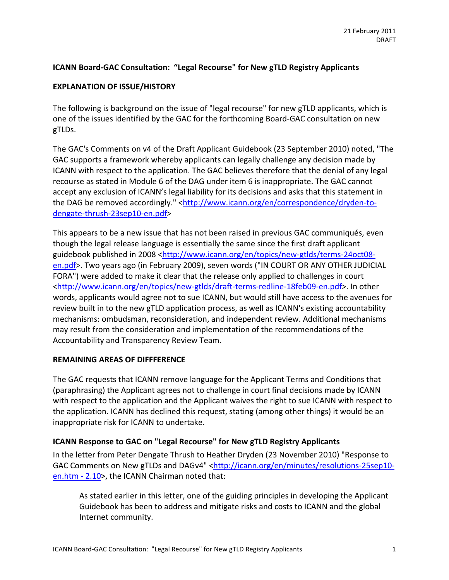## **ICANN Board-GAC Consultation: "Legal Recourse" for New gTLD Registry Applicants**

#### **EXPLANATION OF ISSUE/HISTORY**

The following is background on the issue of "legal recourse" for new gTLD applicants, which is one of the issues identified by the GAC for the forthcoming Board-GAC consultation on new gTLDs.

The GAC's Comments on v4 of the Draft Applicant Guidebook (23 September 2010) noted, "The GAC supports a framework whereby applicants can legally challenge any decision made by ICANN with respect to the application. The GAC believes therefore that the denial of any legal recourse as stated in Module 6 of the DAG under item 6 is inappropriate. The GAC cannot accept any exclusion of ICANN's legal liability for its decisions and asks that this statement in the DAG be removed accordingly." <http://www.icann.org/en/correspondence/dryden-todengate-thrush-23sep10-en.pdf>

This appears to be a new issue that has not been raised in previous GAC communiqués, even though the legal release language is essentially the same since the first draft applicant guidebook published in 2008 <http://www.icann.org/en/topics/new-gtlds/terms-24oct08en.pdf>. Two years ago (in February 2009), seven words ("IN COURT OR ANY OTHER JUDICIAL FORA") were added to make it clear that the release only applied to challenges in court <http://www.icann.org/en/topics/new-gtlds/draft-terms-redline-18feb09-en.pdf>. In other words, applicants would agree not to sue ICANN, but would still have access to the avenues for review built in to the new gTLD application process, as well as ICANN's existing accountability mechanisms: ombudsman, reconsideration, and independent review. Additional mechanisms may result from the consideration and implementation of the recommendations of the Accountability and Transparency Review Team.

#### **REMAINING AREAS OF DIFFFERENCE**

The GAC requests that ICANN remove language for the Applicant Terms and Conditions that (paraphrasing) the Applicant agrees not to challenge in court final decisions made by ICANN with respect to the application and the Applicant waives the right to sue ICANN with respect to the application. ICANN has declined this request, stating (among other things) it would be an inappropriate risk for ICANN to undertake.

#### **ICANN Response to GAC on "Legal Recourse" for New gTLD Registry Applicants**

In the letter from Peter Dengate Thrush to Heather Dryden (23 November 2010) "Response to GAC Comments on New gTLDs and DAGv4" <http://icann.org/en/minutes/resolutions-25sep10en.htm  $-$  2.10 $>$ , the ICANN Chairman noted that:

As stated earlier in this letter, one of the guiding principles in developing the Applicant Guidebook has been to address and mitigate risks and costs to ICANN and the global Internet community.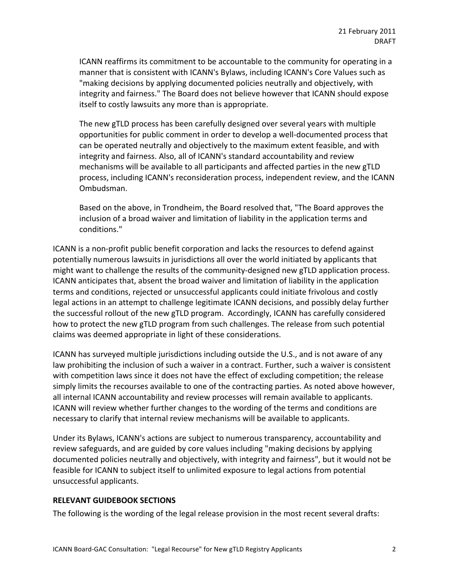ICANN reaffirms its commitment to be accountable to the community for operating in a manner that is consistent with ICANN's Bylaws, including ICANN's Core Values such as "making decisions by applying documented policies neutrally and objectively, with integrity and fairness." The Board does not believe however that ICANN should expose itself to costly lawsuits any more than is appropriate.

The new gTLD process has been carefully designed over several years with multiple opportunities for public comment in order to develop a well-documented process that can be operated neutrally and objectively to the maximum extent feasible, and with integrity and fairness. Also, all of ICANN's standard accountability and review mechanisms will be available to all participants and affected parties in the new gTLD process, including ICANN's reconsideration process, independent review, and the ICANN Ombudsman.#

Based on the above, in Trondheim, the Board resolved that, "The Board approves the inclusion of a broad waiver and limitation of liability in the application terms and conditions."

ICANN is a non-profit public benefit corporation and lacks the resources to defend against potentially numerous lawsuits in jurisdictions all over the world initiated by applicants that might want to challenge the results of the community-designed new gTLD application process. ICANN anticipates that, absent the broad waiver and limitation of liability in the application terms and conditions, rejected or unsuccessful applicants could initiate frivolous and costly legal actions in an attempt to challenge legitimate ICANN decisions, and possibly delay further the successful rollout of the new gTLD program. Accordingly, ICANN has carefully considered how to protect the new gTLD program from such challenges. The release from such potential claims was deemed appropriate in light of these considerations.

ICANN has surveyed multiple jurisdictions including outside the U.S., and is not aware of any law prohibiting the inclusion of such a waiver in a contract. Further, such a waiver is consistent with competition laws since it does not have the effect of excluding competition; the release simply limits the recourses available to one of the contracting parties. As noted above however, all internal ICANN accountability and review processes will remain available to applicants. ICANN will review whether further changes to the wording of the terms and conditions are necessary to clarify that internal review mechanisms will be available to applicants.

Under its Bylaws, ICANN's actions are subject to numerous transparency, accountability and review safeguards, and are guided by core values including "making decisions by applying documented policies neutrally and objectively, with integrity and fairness", but it would not be feasible for ICANN to subject itself to unlimited exposure to legal actions from potential unsuccessful applicants.

#### **RELEVANT GUIDEBOOK SECTIONS**

The following is the wording of the legal release provision in the most recent several drafts: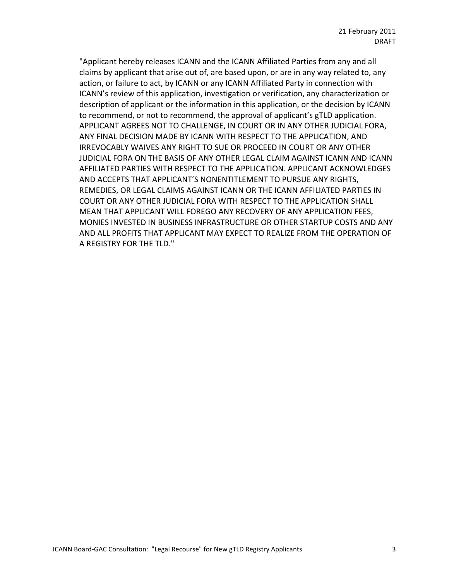"Applicant hereby releases ICANN and the ICANN Affiliated Parties from any and all claims by applicant that arise out of, are based upon, or are in any way related to, any action, or failure to act, by ICANN or any ICANN Affiliated Party in connection with ICANN's review of this application, investigation or verification, any characterization or description of applicant or the information in this application, or the decision by ICANN to recommend, or not to recommend, the approval of applicant's gTLD application. APPLICANT AGREES NOT TO CHALLENGE, IN COURT OR IN ANY OTHER JUDICIAL FORA, ANY FINAL DECISION MADE BY ICANN WITH RESPECT TO THE APPLICATION, AND IRREVOCABLY WAIVES ANY RIGHT TO SUE OR PROCEED IN COURT OR ANY OTHER JUDICIAL FORA ON THE BASIS OF ANY OTHER LEGAL CLAIM AGAINST ICANN AND ICANN AFFILIATED PARTIES WITH RESPECT TO THE APPLICATION. APPLICANT ACKNOWLEDGES AND ACCEPTS THAT APPLICANT'S NONENTITLEMENT TO PURSUE ANY RIGHTS, REMEDIES, OR LEGAL CLAIMS AGAINST ICANN OR THE ICANN AFFILIATED PARTIES IN COURT OR ANY OTHER JUDICIAL FORA WITH RESPECT TO THE APPLICATION SHALL MEAN THAT APPLICANT WILL FOREGO ANY RECOVERY OF ANY APPLICATION FEES, MONIES INVESTED IN BUSINESS INFRASTRUCTURE OR OTHER STARTUP COSTS AND ANY AND ALL PROFITS THAT APPLICANT MAY EXPECT TO REALIZE FROM THE OPERATION OF A REGISTRY FOR THE TLD."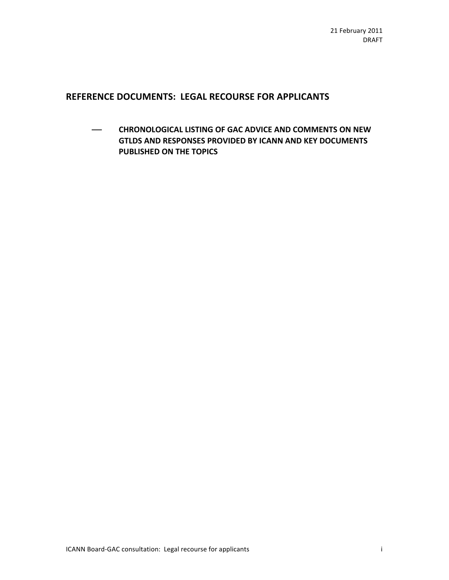# REFERENCE DOCUMENTS: LEGAL RECOURSE FOR APPLICANTS

 $-$  **CHRONOLOGICAL LISTING OF GAC ADVICE AND COMMENTS ON NEW | GTLDS AND RESPONSES PROVIDED BY ICANN AND KEY DOCUMENTS PUBLISHED ON THE TOPICS**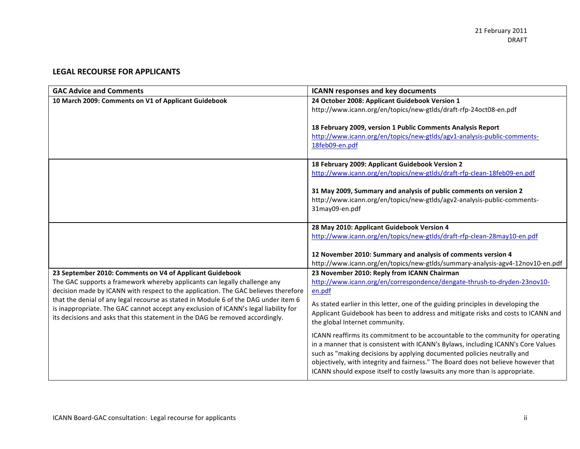### **LEGAL RECOURSE FOR APPLICANTS**

| <b>GAC Advice and Comments</b>                                                       | <b>ICANN responses and key documents</b>                                           |
|--------------------------------------------------------------------------------------|------------------------------------------------------------------------------------|
| 10 March 2009: Comments on V1 of Applicant Guidebook                                 | 24 October 2008: Applicant Guidebook Version 1                                     |
|                                                                                      | http://www.icann.org/en/topics/new-gtlds/draft-rfp-24oct08-en.pdf                  |
|                                                                                      |                                                                                    |
|                                                                                      | 18 February 2009, version 1 Public Comments Analysis Report                        |
|                                                                                      | http://www.icann.org/en/topics/new-gtlds/agv1-analysis-public-comments-            |
|                                                                                      | 18feb09-en.pdf                                                                     |
|                                                                                      |                                                                                    |
|                                                                                      | 18 February 2009: Applicant Guidebook Version 2                                    |
|                                                                                      | http://www.icann.org/en/topics/new-gtlds/draft-rfp-clean-18feb09-en.pdf            |
|                                                                                      |                                                                                    |
|                                                                                      | 31 May 2009, Summary and analysis of public comments on version 2                  |
|                                                                                      | http://www.icann.org/en/topics/new-gtlds/agv2-analysis-public-comments-            |
|                                                                                      | 31may09-en.pdf                                                                     |
|                                                                                      |                                                                                    |
|                                                                                      | 28 May 2010: Applicant Guidebook Version 4                                         |
|                                                                                      | http://www.icann.org/en/topics/new-gtlds/draft-rfp-clean-28may10-en.pdf            |
|                                                                                      | 12 November 2010: Summary and analysis of comments version 4                       |
|                                                                                      | http://www.icann.org/en/topics/new-gtlds/summary-analysis-agv4-12nov10-en.pdf      |
| 23 September 2010: Comments on V4 of Applicant Guidebook                             | 23 November 2010: Reply from ICANN Chairman                                        |
| The GAC supports a framework whereby applicants can legally challenge any            | http://www.icann.org/en/correspondence/dengate-thrush-to-dryden-23nov10-           |
| decision made by ICANN with respect to the application. The GAC believes therefore   | en.pdf                                                                             |
| that the denial of any legal recourse as stated in Module 6 of the DAG under item 6  |                                                                                    |
| is inappropriate. The GAC cannot accept any exclusion of ICANN's legal liability for | As stated earlier in this letter, one of the guiding principles in developing the  |
| its decisions and asks that this statement in the DAG be removed accordingly.        | Applicant Guidebook has been to address and mitigate risks and costs to ICANN and  |
|                                                                                      | the global Internet community.                                                     |
|                                                                                      | ICANN reaffirms its commitment to be accountable to the community for operating    |
|                                                                                      | in a manner that is consistent with ICANN's Bylaws, including ICANN's Core Values  |
|                                                                                      | such as "making decisions by applying documented policies neutrally and            |
|                                                                                      | objectively, with integrity and fairness." The Board does not believe however that |
|                                                                                      | ICANN should expose itself to costly lawsuits any more than is appropriate.        |
|                                                                                      |                                                                                    |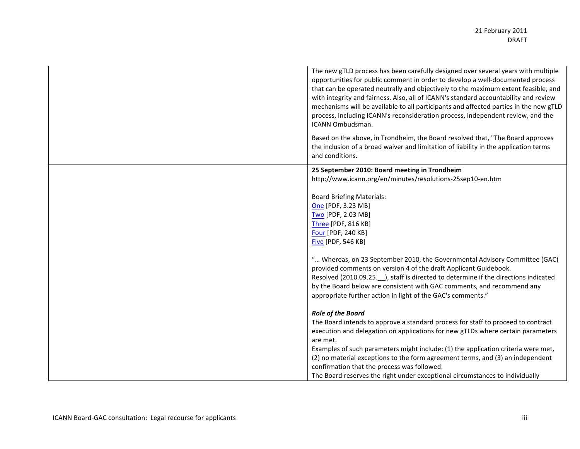| The new gTLD process has been carefully designed over several years with multiple<br>opportunities for public comment in order to develop a well-documented process<br>that can be operated neutrally and objectively to the maximum extent feasible, and<br>with integrity and fairness. Also, all of ICANN's standard accountability and review<br>mechanisms will be available to all participants and affected parties in the new gTLD<br>process, including ICANN's reconsideration process, independent review, and the<br><b>ICANN Ombudsman.</b><br>Based on the above, in Trondheim, the Board resolved that, "The Board approves |
|--------------------------------------------------------------------------------------------------------------------------------------------------------------------------------------------------------------------------------------------------------------------------------------------------------------------------------------------------------------------------------------------------------------------------------------------------------------------------------------------------------------------------------------------------------------------------------------------------------------------------------------------|
| the inclusion of a broad waiver and limitation of liability in the application terms<br>and conditions.                                                                                                                                                                                                                                                                                                                                                                                                                                                                                                                                    |
| 25 September 2010: Board meeting in Trondheim                                                                                                                                                                                                                                                                                                                                                                                                                                                                                                                                                                                              |
| http://www.icann.org/en/minutes/resolutions-25sep10-en.htm                                                                                                                                                                                                                                                                                                                                                                                                                                                                                                                                                                                 |
| <b>Board Briefing Materials:</b>                                                                                                                                                                                                                                                                                                                                                                                                                                                                                                                                                                                                           |
| One [PDF, 3.23 MB]                                                                                                                                                                                                                                                                                                                                                                                                                                                                                                                                                                                                                         |
| Two [PDF, 2.03 MB]                                                                                                                                                                                                                                                                                                                                                                                                                                                                                                                                                                                                                         |
| Three [PDF, 816 KB]                                                                                                                                                                                                                                                                                                                                                                                                                                                                                                                                                                                                                        |
| Four [PDF, 240 KB]                                                                                                                                                                                                                                                                                                                                                                                                                                                                                                                                                                                                                         |
| <b>Five [PDF, 546 KB]</b>                                                                                                                                                                                                                                                                                                                                                                                                                                                                                                                                                                                                                  |
| " Whereas, on 23 September 2010, the Governmental Advisory Committee (GAC)                                                                                                                                                                                                                                                                                                                                                                                                                                                                                                                                                                 |
| provided comments on version 4 of the draft Applicant Guidebook.                                                                                                                                                                                                                                                                                                                                                                                                                                                                                                                                                                           |
| Resolved (2010.09.25. __ ), staff is directed to determine if the directions indicated                                                                                                                                                                                                                                                                                                                                                                                                                                                                                                                                                     |
| by the Board below are consistent with GAC comments, and recommend any                                                                                                                                                                                                                                                                                                                                                                                                                                                                                                                                                                     |
| appropriate further action in light of the GAC's comments."                                                                                                                                                                                                                                                                                                                                                                                                                                                                                                                                                                                |
| <b>Role of the Board</b>                                                                                                                                                                                                                                                                                                                                                                                                                                                                                                                                                                                                                   |
| The Board intends to approve a standard process for staff to proceed to contract                                                                                                                                                                                                                                                                                                                                                                                                                                                                                                                                                           |
| execution and delegation on applications for new gTLDs where certain parameters                                                                                                                                                                                                                                                                                                                                                                                                                                                                                                                                                            |
| are met.                                                                                                                                                                                                                                                                                                                                                                                                                                                                                                                                                                                                                                   |
| Examples of such parameters might include: (1) the application criteria were met,                                                                                                                                                                                                                                                                                                                                                                                                                                                                                                                                                          |
| (2) no material exceptions to the form agreement terms, and (3) an independent                                                                                                                                                                                                                                                                                                                                                                                                                                                                                                                                                             |
| confirmation that the process was followed.                                                                                                                                                                                                                                                                                                                                                                                                                                                                                                                                                                                                |
| The Board reserves the right under exceptional circumstances to individually                                                                                                                                                                                                                                                                                                                                                                                                                                                                                                                                                               |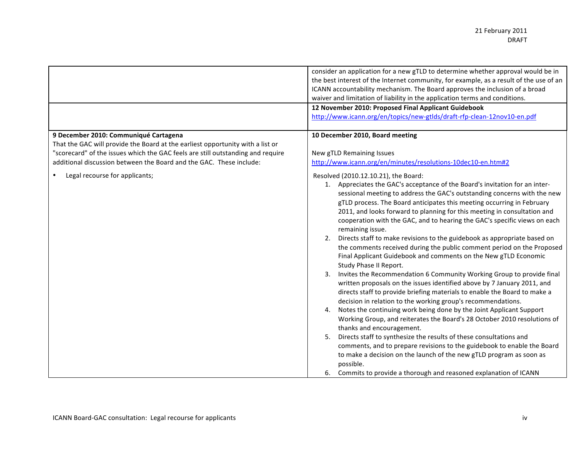|                                                                                                                                                                                                                                                                                   | consider an application for a new gTLD to determine whether approval would be in<br>the best interest of the Internet community, for example, as a result of the use of an<br>ICANN accountability mechanism. The Board approves the inclusion of a broad<br>waiver and limitation of liability in the application terms and conditions.<br>12 November 2010: Proposed Final Applicant Guidebook<br>http://www.icann.org/en/topics/new-gtlds/draft-rfp-clean-12nov10-en.pdf                                                                                                                                                                                                                                                                                                                                                                                                                                                                                                                                                                                                                                                                                                                                                                                                                                                                                                                                                                                                                                                   |
|-----------------------------------------------------------------------------------------------------------------------------------------------------------------------------------------------------------------------------------------------------------------------------------|-------------------------------------------------------------------------------------------------------------------------------------------------------------------------------------------------------------------------------------------------------------------------------------------------------------------------------------------------------------------------------------------------------------------------------------------------------------------------------------------------------------------------------------------------------------------------------------------------------------------------------------------------------------------------------------------------------------------------------------------------------------------------------------------------------------------------------------------------------------------------------------------------------------------------------------------------------------------------------------------------------------------------------------------------------------------------------------------------------------------------------------------------------------------------------------------------------------------------------------------------------------------------------------------------------------------------------------------------------------------------------------------------------------------------------------------------------------------------------------------------------------------------------|
| 9 December 2010: Communiqué Cartagena<br>That the GAC will provide the Board at the earliest opportunity with a list or<br>"scorecard" of the issues which the GAC feels are still outstanding and require<br>additional discussion between the Board and the GAC. These include: | 10 December 2010, Board meeting<br>New gTLD Remaining Issues<br>http://www.icann.org/en/minutes/resolutions-10dec10-en.htm#2                                                                                                                                                                                                                                                                                                                                                                                                                                                                                                                                                                                                                                                                                                                                                                                                                                                                                                                                                                                                                                                                                                                                                                                                                                                                                                                                                                                                  |
| Legal recourse for applicants;                                                                                                                                                                                                                                                    | Resolved (2010.12.10.21), the Board:<br>1. Appreciates the GAC's acceptance of the Board's invitation for an inter-<br>sessional meeting to address the GAC's outstanding concerns with the new<br>gTLD process. The Board anticipates this meeting occurring in February<br>2011, and looks forward to planning for this meeting in consultation and<br>cooperation with the GAC, and to hearing the GAC's specific views on each<br>remaining issue.<br>Directs staff to make revisions to the guidebook as appropriate based on<br>2.<br>the comments received during the public comment period on the Proposed<br>Final Applicant Guidebook and comments on the New gTLD Economic<br>Study Phase II Report.<br>Invites the Recommendation 6 Community Working Group to provide final<br>3.<br>written proposals on the issues identified above by 7 January 2011, and<br>directs staff to provide briefing materials to enable the Board to make a<br>decision in relation to the working group's recommendations.<br>Notes the continuing work being done by the Joint Applicant Support<br>4.<br>Working Group, and reiterates the Board's 28 October 2010 resolutions of<br>thanks and encouragement.<br>Directs staff to synthesize the results of these consultations and<br>5.<br>comments, and to prepare revisions to the guidebook to enable the Board<br>to make a decision on the launch of the new gTLD program as soon as<br>possible.<br>6. Commits to provide a thorough and reasoned explanation of ICANN |